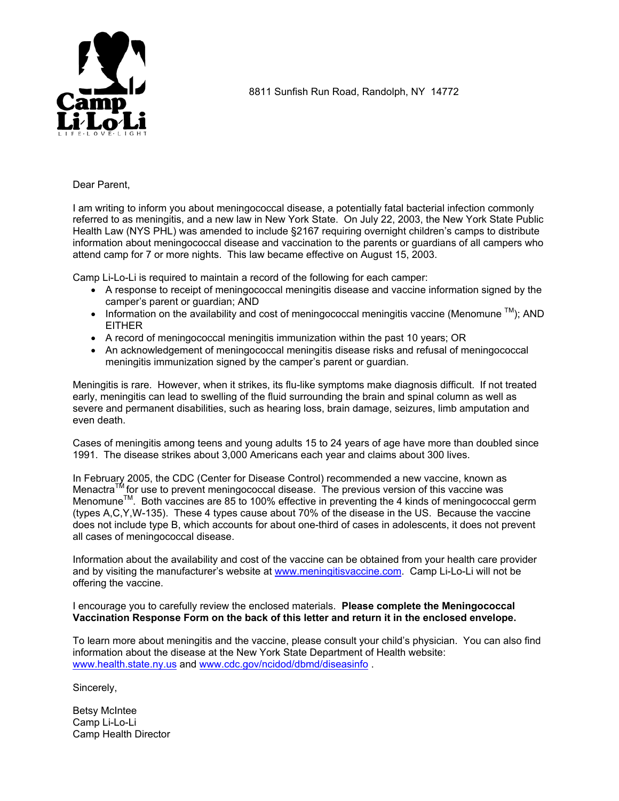

8811 Sunfish Run Road, Randolph, NY 14772

### Dear Parent,

I am writing to inform you about meningococcal disease, a potentially fatal bacterial infection commonly referred to as meningitis, and a new law in New York State. On July 22, 2003, the New York State Public Health Law (NYS PHL) was amended to include §2167 requiring overnight children's camps to distribute information about meningococcal disease and vaccination to the parents or guardians of all campers who attend camp for 7 or more nights. This law became effective on August 15, 2003.

Camp Li-Lo-Li is required to maintain a record of the following for each camper:

- A response to receipt of meningococcal meningitis disease and vaccine information signed by the camper's parent or guardian; AND
- Information on the availability and cost of meningococcal meningitis vaccine (Menomune  $TM$ ); AND EITHER
- A record of meningococcal meningitis immunization within the past 10 years; OR
- An acknowledgement of meningococcal meningitis disease risks and refusal of meningococcal meningitis immunization signed by the camper's parent or guardian.

Meningitis is rare. However, when it strikes, its flu-like symptoms make diagnosis difficult. If not treated early, meningitis can lead to swelling of the fluid surrounding the brain and spinal column as well as severe and permanent disabilities, such as hearing loss, brain damage, seizures, limb amputation and even death.

Cases of meningitis among teens and young adults 15 to 24 years of age have more than doubled since 1991. The disease strikes about 3,000 Americans each year and claims about 300 lives.

In February 2005, the CDC (Center for Disease Control) recommended a new vaccine, known as Menactra<sup>TM</sup> for use to prevent meningococcal disease. The previous version of this vaccine was Menacula TM. doe to provent merningeed on the case of the preventing the 4 kinds of meningococcal germ.<br>Menomune™ Both vaccines are 85 to 100% effective in preventing the 4 kinds of meningococcal germ. (types A,C,Y,W-135). These 4 types cause about 70% of the disease in the US. Because the vaccine does not include type B, which accounts for about one-third of cases in adolescents, it does not prevent all cases of meningococcal disease.

Information about the availability and cost of the vaccine can be obtained from your health care provider and by visiting the manufacturer's website at [www.meningitisvaccine.com](http://www.meningitisvaccine.com/). Camp Li-Lo-Li will not be offering the vaccine.

I encourage you to carefully review the enclosed materials. **Please complete the Meningococcal Vaccination Response Form on the back of this letter and return it in the enclosed envelope.**

To learn more about meningitis and the vaccine, please consult your child's physician. You can also find information about the disease at the New York State Department of Health website: [www.health.state.ny.us](http://www.health.state.ny.us/) and [www.cdc.gov/ncidod/dbmd/diseasinfo](http://www.cdc.gov/ncidod/dbmd/diseasinfo) .

Sincerely,

Betsy McIntee Camp Li-Lo-Li Camp Health Director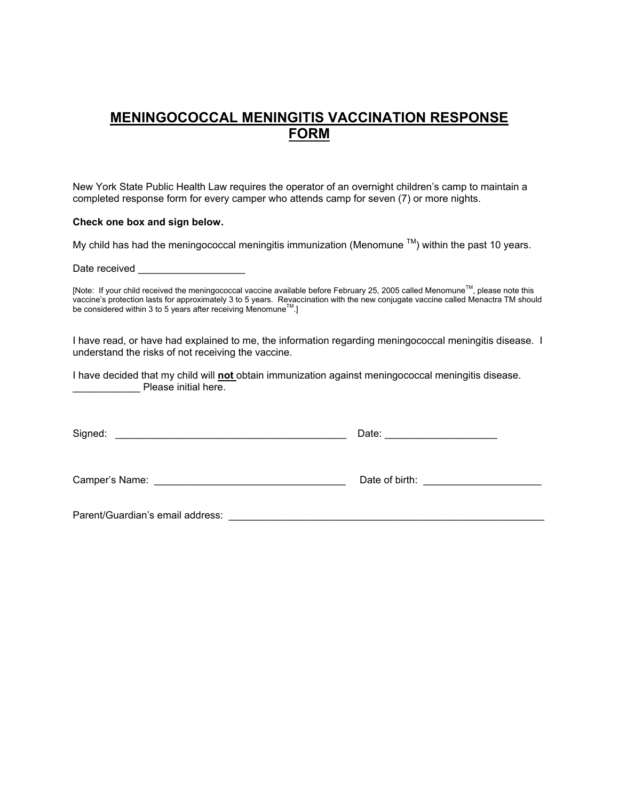# **MENINGOCOCCAL MENINGITIS VACCINATION RESPONSE FORM**

New York State Public Health Law requires the operator of an overnight children's camp to maintain a completed response form for every camper who attends camp for seven (7) or more nights.

### **Check one box and sign below.**

My child has had the meningococcal meningitis immunization (Menomune  $TM$ ) within the past 10 years.

Date received

[Note: If your child received the meningococcal vaccine available before February 25, 2005 called Menomune™, please note this vaccine's protection lasts for approximately 3 to 5 years. Revaccination with the new conjugate vaccine called Menactra TM should<br>be considered within 3 to 5 years after receiving Menomune™.]

I have read, or have had explained to me, the information regarding meningococcal meningitis disease. I understand the risks of not receiving the vaccine.

I have decided that my child will **not** obtain immunization against meningococcal meningitis disease. end Please initial here.

| Signed:                                                                                                                                                                                                                       | Date: _________________________ |
|-------------------------------------------------------------------------------------------------------------------------------------------------------------------------------------------------------------------------------|---------------------------------|
|                                                                                                                                                                                                                               |                                 |
| Parent/Guardian's email address: Note that the state of the state of the state of the state of the state of the state of the state of the state of the state of the state of the state of the state of the state of the state |                                 |